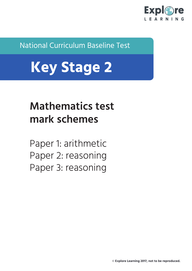

National Curriculum Baseline Test

# **Key Stage 2**

# **Mathematics test mark schemes**

Paper 1: arithmetic Paper 2: reasoning Paper 3: reasoning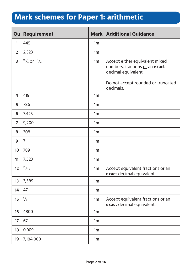#### **Mark schemes for Paper 1: arithmetic**

| Qu             | <b>Requirement</b> |    | <b>Mark   Additional Guidance</b>                                                                                                          |
|----------------|--------------------|----|--------------------------------------------------------------------------------------------------------------------------------------------|
| 1              | 445                | 1m |                                                                                                                                            |
| $\overline{2}$ | 2,323              | 1m |                                                                                                                                            |
| 3              | $10/8$ or $11/4$   | 1m | Accept either equivalent mixed<br>numbers, fractions or an exact<br>decimal equivalent.<br>Do not accept rounded or truncated<br>decimals. |
| 4              | 419                | 1m |                                                                                                                                            |
| 5              | 786                | 1m |                                                                                                                                            |
| 6              | 7.423              | 1m |                                                                                                                                            |
| $\overline{7}$ | 9,200              | 1m |                                                                                                                                            |
| 8              | 308                | 1m |                                                                                                                                            |
| 9              | $\overline{7}$     | 1m |                                                                                                                                            |
| 10             | 789                | 1m |                                                                                                                                            |
| 11             | 7,523              | 1m |                                                                                                                                            |
| 12             | $\frac{12}{25}$    | 1m | Accept equivalent fractions or an<br>exact decimal equivalent.                                                                             |
| 13             | 3,589              | 1m |                                                                                                                                            |
| 14             | 47                 | 1m |                                                                                                                                            |
| 15             | $\frac{1}{4}$      | 1m | Accept equivalent fractions or an<br>exact decimal equivalent.                                                                             |
| 16             | 4800               | 1m |                                                                                                                                            |
| 17             | 67                 | 1m |                                                                                                                                            |
| 18             | 0.009              | 1m |                                                                                                                                            |
| 19             | 7,184,000          | 1m |                                                                                                                                            |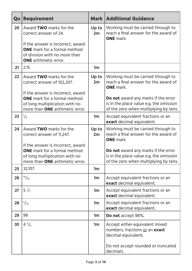| Qu | <b>Requirement</b>                                                                                                                            |                | <b>Mark   Additional Guidance</b>                                                                                              |
|----|-----------------------------------------------------------------------------------------------------------------------------------------------|----------------|--------------------------------------------------------------------------------------------------------------------------------|
| 20 | Award TWO marks for the<br>correct answer of 24.<br>If the answer is incorrect, award                                                         | Up to<br>2m    | Working must be carried through to<br>reach a final answer for the award of<br><b>ONE</b> mark.                                |
|    | <b>ONE</b> mark for a formal method<br>of division with no more than<br><b>ONE</b> arithmetic error.                                          |                |                                                                                                                                |
| 21 | 2.15                                                                                                                                          | 1 <sub>m</sub> |                                                                                                                                |
| 22 | Award TWO marks for the<br>correct answer of 102,207.                                                                                         | Up to<br>2m    | Working must be carried through to<br>reach a final answer for the award of<br><b>ONE</b> mark.                                |
|    | If the answer is incorrect, award<br><b>ONE</b> mark for a formal method<br>of long multiplication with no<br>more than ONE arithmetic error. |                | Do not award any marks if the error<br>is in the place value e.g. the omission<br>of the zero when multiplying by tens.        |
| 23 | $\frac{1}{5}$                                                                                                                                 | 1m             | Accept equivalent fractions or an<br>exact decimal equivalent.                                                                 |
| 24 | Award TWO marks for the<br>correct answer of 11,247.                                                                                          | Up to<br>2m    | Working must be carried through to<br>reach a final answer for the award of<br><b>ONE</b> mark.                                |
|    | If the answer is incorrect, award<br><b>ONE</b> mark for a formal method<br>of long multiplication with no<br>more than ONE arithmetic error. |                | <b>Do not</b> award any marks if the error<br>is in the place value e.g. the omission<br>of the zero when multiplying by tens. |
| 25 | 32.107                                                                                                                                        | 1 <sub>m</sub> |                                                                                                                                |
| 26 | $^{14}/_{15}$                                                                                                                                 | 1m             | Accept equivalent fractions or an<br>exact decimal equivalent.                                                                 |
| 27 | $5\frac{1}{7}$                                                                                                                                | 1m             | Accept equivalent fractions or an<br>exact decimal equivalent.                                                                 |
| 28 | $\frac{3}{32}$                                                                                                                                | 1m             | Accept equivalent fractions or an<br>exact decimal equivalent.                                                                 |
| 29 | 98                                                                                                                                            | 1 <sub>m</sub> | Do not accept 98%.                                                                                                             |
| 30 | $4^{5}/_{6}$                                                                                                                                  | 1m             | Accept either equivalent mixed<br>numbers, fractions or an exact<br>decimal equivalent.                                        |
|    |                                                                                                                                               |                | Do not accept rounded or truncated<br>decimals.                                                                                |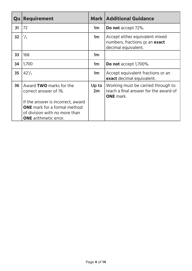| Qu              | <b>Requirement</b>                                                                                   |                | <b>Mark   Additional Guidance</b>                                                               |
|-----------------|------------------------------------------------------------------------------------------------------|----------------|-------------------------------------------------------------------------------------------------|
| 31              | 72                                                                                                   | 1 <sub>m</sub> | <b>Do not</b> accept 72%.                                                                       |
| 32 <sub>2</sub> | $\frac{1}{2}$                                                                                        | 1m             | Accept either equivalent mixed<br>numbers, fractions or an exact<br>decimal equivalent.         |
| 33              | 168                                                                                                  | 1 <sub>m</sub> |                                                                                                 |
| 34              | 1,700                                                                                                | 1 <sub>m</sub> | Do not accept 1,700%.                                                                           |
| 35              | $42^{1/2}$                                                                                           | 1 <sub>m</sub> | Accept equivalent fractions or an<br>exact decimal equivalent.                                  |
| 36              | Award TWO marks for the<br>correct answer of 76.                                                     | Up to<br>2m    | Working must be carried through to<br>reach a final answer for the award of<br><b>ONE</b> mark. |
|                 | If the answer is incorrect, award                                                                    |                |                                                                                                 |
|                 | <b>ONE</b> mark for a formal method<br>of division with no more than<br><b>ONE</b> arithmetic error. |                |                                                                                                 |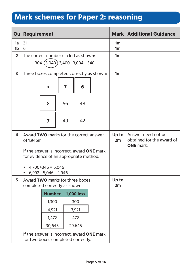## **Mark schemes for Paper 2: reasoning**

| Qu                      | Requirement                                                                          |                   |  |                                  | <b>Mark   Additional Guidance</b>                                   |
|-------------------------|--------------------------------------------------------------------------------------|-------------------|--|----------------------------------|---------------------------------------------------------------------|
| 1a<br>1 <sub>b</sub>    | 31<br>6                                                                              |                   |  | 1 <sub>m</sub><br>1 <sub>m</sub> |                                                                     |
| 2 <sup>1</sup>          | The correct number circled as shown:                                                 |                   |  | 1 <sub>m</sub>                   |                                                                     |
|                         | 304 (3,040) 3,400 3,004 340                                                          |                   |  |                                  |                                                                     |
| $\overline{\mathbf{3}}$ | Three boxes completed correctly as shown:                                            |                   |  | 1 <sub>m</sub>                   |                                                                     |
|                         | X                                                                                    | 6<br>7            |  |                                  |                                                                     |
|                         | 8                                                                                    | 56<br>48          |  |                                  |                                                                     |
|                         | 7                                                                                    | 49<br>42          |  |                                  |                                                                     |
| 4                       | Award TWO marks for the correct answer<br>of 1,946m.                                 |                   |  | Up to<br>2m                      | Answer need not be<br>obtained for the award of<br><b>ONE</b> mark. |
|                         | If the answer is incorrect, award ONE mark<br>for evidence of an appropriate method. |                   |  |                                  |                                                                     |
|                         | $4,700+346=5,046$<br>$6,992 - 5,046 = 1,946$<br>$\bullet$                            |                   |  |                                  |                                                                     |
| 5                       | Award TWO marks for three boxes<br>completed correctly as shown:                     |                   |  | Up to<br>2m                      |                                                                     |
|                         | <b>Number</b>                                                                        | <b>1,000 less</b> |  |                                  |                                                                     |
|                         | 1,300                                                                                | 300               |  |                                  |                                                                     |
|                         | 4,921                                                                                | 3,921             |  |                                  |                                                                     |
|                         | 1,472                                                                                | 472               |  |                                  |                                                                     |
|                         | 30,645                                                                               | 29,645            |  |                                  |                                                                     |
|                         | If the answer is incorrect, award ONE mark<br>for two boxes completed correctly.     |                   |  |                                  |                                                                     |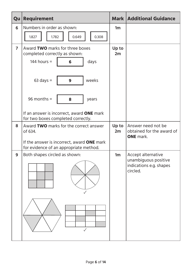| Qu                       | Requirement                                                                          | <b>Mark</b>    | <b>Additional Guidance</b>                                                        |
|--------------------------|--------------------------------------------------------------------------------------|----------------|-----------------------------------------------------------------------------------|
| 6                        | Numbers in order as shown:                                                           | 1 <sub>m</sub> |                                                                                   |
|                          | 0.308<br>1.827<br>1.782<br>0.649                                                     |                |                                                                                   |
| $\overline{\phantom{a}}$ | Award TWO marks for three boxes<br>completed correctly as shown:                     |                |                                                                                   |
|                          | 144 hours $=$<br>days<br>6                                                           |                |                                                                                   |
|                          | $63$ days =<br>weeks<br>9                                                            |                |                                                                                   |
|                          | $96$ months =<br>8<br>years                                                          |                |                                                                                   |
|                          | If an answer is incorrect, award ONE mark<br>for two boxes completed correctly.      |                |                                                                                   |
| 8                        | Award TWO marks for the correct answer<br>of 634.                                    | Up to<br>2m    | Answer need not be<br>obtained for the award of<br><b>ONE</b> mark.               |
|                          | If the answer is incorrect, award ONE mark<br>for evidence of an appropriate method. |                |                                                                                   |
| 9                        | Both shapes circled as shown:                                                        | 1 <sub>m</sub> | Accept alternative<br>unambiguous positive<br>indications e.g. shapes<br>circled. |
|                          |                                                                                      |                |                                                                                   |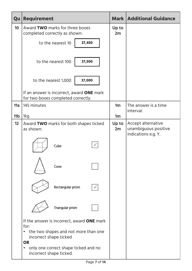| Qu              | <b>Requirement</b>                                                                        |                | <b>Mark   Additional Guidance</b>                                 |
|-----------------|-------------------------------------------------------------------------------------------|----------------|-------------------------------------------------------------------|
| 10              | Award TWO marks for three boxes<br>completed correctly as shown:                          |                |                                                                   |
|                 | 37,450<br>to the nearest 10                                                               |                |                                                                   |
|                 | 37,500<br>to the nearest 100                                                              |                |                                                                   |
|                 | 37,000<br>to the nearest 1,000                                                            |                |                                                                   |
|                 | If an answer is incorrect, award ONE mark<br>for two boxes completed correctly.           |                |                                                                   |
| 11a             | 145 minutes                                                                               | 1 <sub>m</sub> | The answer is a time<br>interval.                                 |
| 11 <sub>b</sub> | 1kg                                                                                       | 1m             |                                                                   |
| 12              | Award TWO marks for both shapes ticked<br>as shown:                                       | Up to<br>2m    | Accept alternative<br>unambiguous positive<br>indications e.g. Y. |
|                 | Cube                                                                                      |                |                                                                   |
|                 | Cone                                                                                      |                |                                                                   |
|                 | Rectangular prism                                                                         |                |                                                                   |
|                 | Triangular prism                                                                          |                |                                                                   |
|                 | If the answer is incorrect, award ONE mark<br>for:                                        |                |                                                                   |
|                 | the two shapes and not more than one<br>$\bullet$<br>incorrect shape ticked               |                |                                                                   |
|                 | <b>OR</b><br>only one correct shape ticked and no<br>$\bullet$<br>incorrect shape ticked. |                |                                                                   |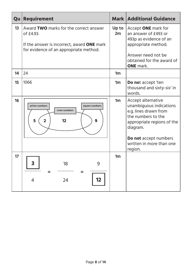| Qu | Requirement                                                                                                                                        |                | <b>Mark   Additional Guidance</b>                                                                                                                                                                      |
|----|----------------------------------------------------------------------------------------------------------------------------------------------------|----------------|--------------------------------------------------------------------------------------------------------------------------------------------------------------------------------------------------------|
| 13 | Award TWO marks for the correct answer<br>of £4.93.<br>If the answer is incorrect, award <b>ONE</b> mark<br>for evidence of an appropriate method. | Up to<br>2m    | Accept ONE mark for<br>an answer of £493 or<br>493p as evidence of an<br>appropriate method.<br>Answer need not be<br>obtained for the award of<br><b>ONE</b> mark.                                    |
| 14 | 24                                                                                                                                                 | 1 <sub>m</sub> |                                                                                                                                                                                                        |
| 15 | 1066                                                                                                                                               | 1 <sub>m</sub> | Do not accept 'ten<br>thousand and sixty-six' in<br>words.                                                                                                                                             |
| 16 | prime numbers<br>square numbers<br>even numbers<br>5<br>$\overline{\mathbf{2}}$<br>9<br>12                                                         | 1 <sub>m</sub> | Accept alternative<br>unambiguous indications<br>e.g. lines drawn from<br>the numbers to the<br>appropriate regions of the<br>diagram.<br>Do not accept numbers<br>written in more than one<br>region. |
| 17 | 3<br>9<br>18<br>$=$<br>12<br>24<br>4                                                                                                               | 1 <sub>m</sub> |                                                                                                                                                                                                        |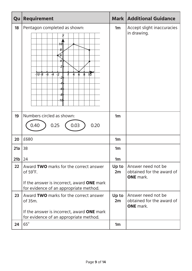| Qu              | <b>Requirement</b>                                                                                                |                | <b>Mark   Additional Guidance</b>                                   |
|-----------------|-------------------------------------------------------------------------------------------------------------------|----------------|---------------------------------------------------------------------|
| 18              | Pentagon completed as shown:<br>10l<br>8<br>$-10-8$<br>$-4$<br>$-6$<br>$-\sqrt{2}$<br>ጰ<br>$1\overline{0}$<br>10  | 1 <sub>m</sub> | Accept slight inaccuracies<br>in drawing.                           |
| 19              | Numbers circled as shown:<br>0.25<br>0.03<br>0.20<br>0.40                                                         | 1 <sub>m</sub> |                                                                     |
| 20              | £680                                                                                                              |                |                                                                     |
| 21a             | 38                                                                                                                | 1 <sub>m</sub> |                                                                     |
| 21 <sub>b</sub> | 24                                                                                                                | 1m             |                                                                     |
| 22              | Award TWO marks for the correct answer<br>of $59^{\circ}$ F.<br>If the answer is incorrect, award <b>ONE</b> mark |                | Answer need not be<br>obtained for the award of<br><b>ONE</b> mark. |
|                 | for evidence of an appropriate method.                                                                            | Up to          |                                                                     |
| 23              | Award TWO marks for the correct answer<br>of 35m.                                                                 |                | Answer need not be<br>obtained for the award of<br><b>ONE</b> mark. |
|                 | If the answer is incorrect, award ONE mark<br>for evidence of an appropriate method.                              |                |                                                                     |
| 24              | $65^\circ$                                                                                                        | 1 <sub>m</sub> |                                                                     |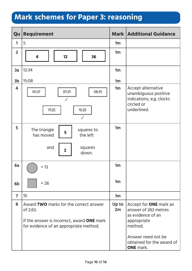## **Mark schemes for Paper 3: reasoning**

| Qu             | <b>Requirement</b>                                                                                                                         |                | <b>Mark   Additional Guidance</b>                                                                                                                                           |
|----------------|--------------------------------------------------------------------------------------------------------------------------------------------|----------------|-----------------------------------------------------------------------------------------------------------------------------------------------------------------------------|
| 1              | 5                                                                                                                                          | 1m             |                                                                                                                                                                             |
| $\overline{2}$ | 4<br>12<br>36                                                                                                                              | 1m             |                                                                                                                                                                             |
| 3a             | 12:34                                                                                                                                      | 1m             |                                                                                                                                                                             |
| 3 <sub>b</sub> | 15:08                                                                                                                                      | 1m             |                                                                                                                                                                             |
| 4              | 05:37<br>07:25<br>08:25<br>$\checkmark$<br>17:25<br>19:25<br>$\checkmark$                                                                  | 1m             | Accept alternative<br>unambiguous positive<br>indications, e.g. clocks<br>circled or<br>underlined.                                                                         |
| 5              | The triangle<br>squares to<br>5<br>has moved<br>the left<br>and<br>squares<br>$\overline{\mathbf{2}}$<br>down.                             | 1 <sub>m</sub> |                                                                                                                                                                             |
| 6a             | $= 13$                                                                                                                                     | 1m             |                                                                                                                                                                             |
| 6 <sub>b</sub> | $= 26$                                                                                                                                     | 1 <sub>m</sub> |                                                                                                                                                                             |
| $\overline{7}$ | 10                                                                                                                                         | 1 <sub>m</sub> |                                                                                                                                                                             |
| 8              | Award TWO marks for the correct answer<br>of 2.63.<br>If the answer is incorrect, award ONE mark<br>for evidence of an appropriate method. | Up to<br>2m    | Accept for <b>ONE</b> mark an<br>answer of 263 metres<br>as evidence of an<br>appropriate<br>method.<br>Answer need not be<br>obtained for the award of<br><b>ONE</b> mark. |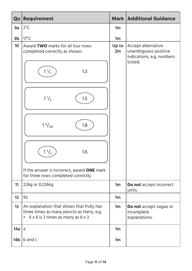| Qu  | <b>Requirement</b>                                                                                                                       |                | <b>Mark   Additional Guidance</b>                                                  |
|-----|------------------------------------------------------------------------------------------------------------------------------------------|----------------|------------------------------------------------------------------------------------|
| 9a  | $2^{\circ}C$                                                                                                                             | 1m             |                                                                                    |
| 9b  | $17^{\circ}$ C                                                                                                                           | 1m             |                                                                                    |
| 10  | Award TWO marks for all four rows<br>completed correctly as shown:                                                                       | Up to<br>2m    | Accept alternative<br>unambiguous positive<br>indications, e.g. numbers<br>ticked. |
|     | $1\frac{1}{3}$<br>1.3                                                                                                                    |                |                                                                                    |
|     | $1\frac{1}{5}$<br>1.5                                                                                                                    |                |                                                                                    |
|     | $1\frac{8}{100}$<br>1.8                                                                                                                  |                |                                                                                    |
|     | $\frac{5}{6}$<br>1.6                                                                                                                     |                |                                                                                    |
|     | If the answer is incorrect, award ONE mark<br>for three rows completed correctly.                                                        |                |                                                                                    |
| 11  | 226g or 0.226kg                                                                                                                          | 1m             | Do not accept incorrect<br>units.                                                  |
| 12  | 95                                                                                                                                       | 1m             |                                                                                    |
| 13  | An explanation that shows that Polly has<br>three times as many pencils as Harry, e.g.<br>9 x 6 is 3 times as many as 6 x 3<br>$\bullet$ | 1 <sub>m</sub> | Do not accept vague or<br>incomplete<br>explanations.                              |
| 14a | a                                                                                                                                        | 1 <sub>m</sub> |                                                                                    |
| 14b | b and c                                                                                                                                  | 1 <sub>m</sub> |                                                                                    |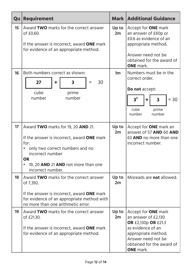| Qu | <b>Requirement</b>                                                                                                                                                                                                |                | <b>Mark   Additional Guidance</b>                                                                                                                                                                  |
|----|-------------------------------------------------------------------------------------------------------------------------------------------------------------------------------------------------------------------|----------------|----------------------------------------------------------------------------------------------------------------------------------------------------------------------------------------------------|
| 15 | Award TWO marks for the correct answer<br>of £0.60.<br>If the answer is incorrect, award <b>ONE</b> mark<br>for evidence of an appropriate method.                                                                |                | Accept for <b>ONE</b> mark<br>an answer of £60p or<br>£0.6 as evidence of an<br>appropriate method.<br>Answer need not be<br>obtained for the award of<br><b>ONE</b> mark.                         |
| 16 | Both numbers correct as shown:<br>$\overline{\mathbf{3}}$<br>30<br>27<br>÷<br>cube<br>prime<br>number<br>number                                                                                                   | 1 <sub>m</sub> | Numbers must be in the<br>correct order.<br>Do not accept:<br>$3^3$<br>$= 30$<br>3<br>$\ddagger$<br>prime<br>cube<br>number<br>number                                                              |
| 17 | Award TWO marks for 19, 20 AND 21.<br>If the answer is incorrect, award ONE mark<br>for:<br>only two correct numbers and no<br>incorrect number<br><b>OR</b><br>19, 20 AND 21 AND not more than one               |                | Accept for <b>ONE</b> mark an<br>answer of 57 AND 60 AND<br>63 AND no more than one<br>incorrect number.                                                                                           |
| 18 | incorrect number.<br>Award TWO marks for the correct answer<br>of 7,392.<br>If the answer is incorrect, award <b>ONE</b> mark<br>for evidence of an appropriate method with<br>no more than one arithmetic error. |                | Misreads are <b>not</b> allowed.                                                                                                                                                                   |
| 19 | Award TWO marks for the correct answer<br>of £21.30.<br>If the answer is incorrect, award <b>ONE</b> mark<br>for evidence of an appropriate method.                                                               | Up to<br>2m    | Accept for <b>ONE</b> mark<br>an answer of £2,130<br><b>OR £2,130p OR £21.3</b><br>as evidence of an<br>appropriate method.<br>Answer need not be<br>obtained for the award of<br><b>ONE</b> mark. |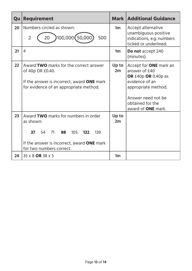| Qu | Requirement                                                                                                                                                              |                | <b>Mark   Additional Guidance</b>                                                                                                                                                       |
|----|--------------------------------------------------------------------------------------------------------------------------------------------------------------------------|----------------|-----------------------------------------------------------------------------------------------------------------------------------------------------------------------------------------|
| 20 | Numbers circled as shown:<br>100,000 (50,000)<br>$\overline{2}$<br>500<br>20                                                                                             | 1 <sub>m</sub> | Accept alternative<br>unambiguous positive<br>indications, e.g. numbers<br>ticked or underlined.                                                                                        |
| 21 | 4                                                                                                                                                                        | 1 <sub>m</sub> | Do not accept 240<br>(minutes).                                                                                                                                                         |
| 22 | Award TWO marks for the correct answer<br>of 40p OR £0.40.<br>If the answer is incorrect, award ONE mark<br>for evidence of an appropriate method.                       | Up to<br>2m    | Accept for <b>ONE</b> mark an<br>answer of £40<br>OR $£40p$ OR 0.40p as<br>evidence of an<br>appropriate method.<br>Answer need not be<br>obtained for the<br>award of <b>ONE</b> mark. |
| 23 | Award TWO marks for numbers in order<br>as shown:<br>37<br>54<br>71<br>105<br>88<br>122<br>139<br>If the answer is incorrect, award ONE mark<br>for two numbers correct. | Up to<br>2m    |                                                                                                                                                                                         |
| 24 | 35 x 8 OR 38 x 5                                                                                                                                                         | 1 <sub>m</sub> |                                                                                                                                                                                         |